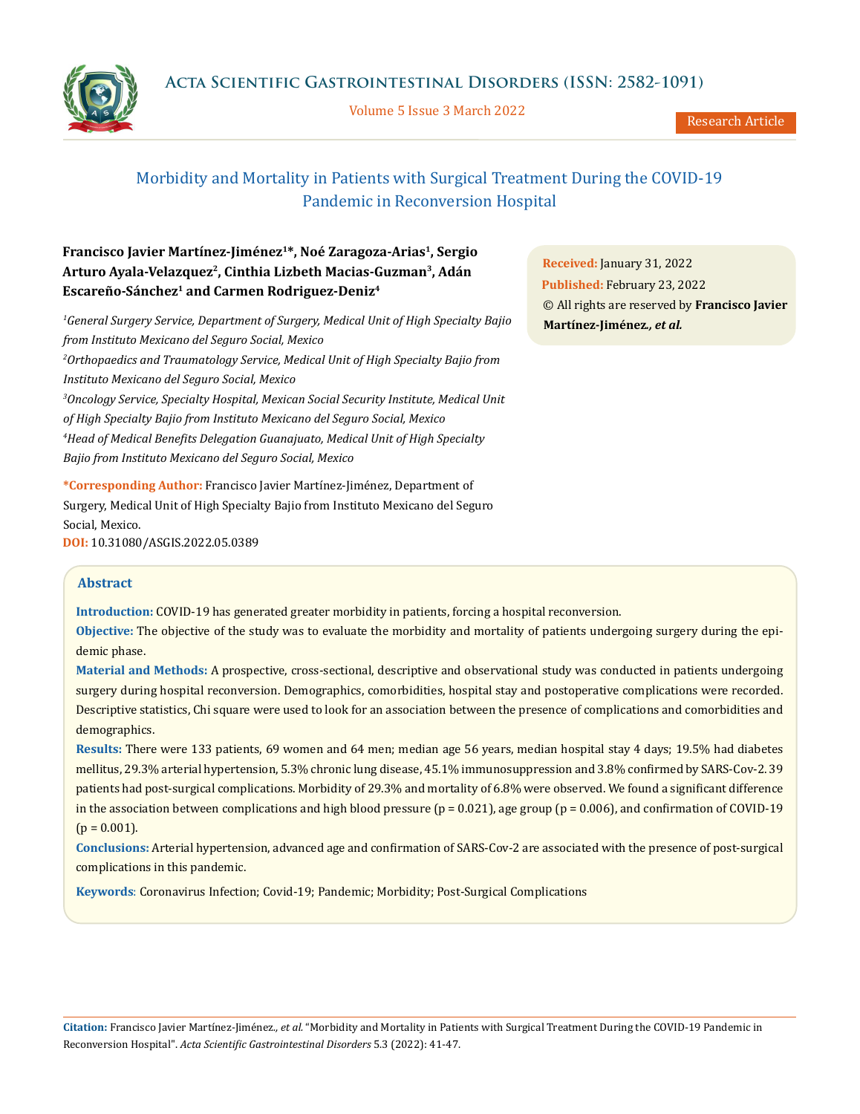Volume 5 Issue 3 March 2022

Research Article

# Morbidity and Mortality in Patients with Surgical Treatment During the COVID-19 Pandemic in Reconversion Hospital

## **Francisco Javier Martínez-Jiménez1\*, Noé Zaragoza-Arias1, Sergio Arturo Ayala-Velazquez2, Cinthia Lizbeth Macias-Guzman3, Adán Escareño-Sánchez1 and Carmen Rodriguez-Deniz4**

*1 General Surgery Service, Department of Surgery, Medical Unit of High Specialty Bajio from Instituto Mexicano del Seguro Social, Mexico 2 Orthopaedics and Traumatology Service, Medical Unit of High Specialty Bajio from Instituto Mexicano del Seguro Social, Mexico 3 Oncology Service, Specialty Hospital, Mexican Social Security Institute, Medical Unit of High Specialty Bajio from Instituto Mexicano del Seguro Social, Mexico 4 Head of Medical Benefits Delegation Guanajuato, Medical Unit of High Specialty* 

*Bajio from Instituto Mexicano del Seguro Social, Mexico*

**\*Corresponding Author:** Francisco Javier Martínez-Jiménez, Department of Surgery, Medical Unit of High Specialty Bajio from Instituto Mexicano del Seguro Social, Mexico.

**DOI:** [10.31080/ASGIS.2022.05.0389](https://actascientific.com/ASGIS/pdf/ASGIS-05-0389.pdf)

**Abstract**

**Introduction:** COVID-19 has generated greater morbidity in patients, forcing a hospital reconversion.

**Objective:** The objective of the study was to evaluate the morbidity and mortality of patients undergoing surgery during the epidemic phase.

**Material and Methods:** A prospective, cross-sectional, descriptive and observational study was conducted in patients undergoing surgery during hospital reconversion. Demographics, comorbidities, hospital stay and postoperative complications were recorded. Descriptive statistics, Chi square were used to look for an association between the presence of complications and comorbidities and demographics.

**Results:** There were 133 patients, 69 women and 64 men; median age 56 years, median hospital stay 4 days; 19.5% had diabetes mellitus, 29.3% arterial hypertension, 5.3% chronic lung disease, 45.1% immunosuppression and 3.8% confirmed by SARS-Cov-2. 39 patients had post-surgical complications. Morbidity of 29.3% and mortality of 6.8% were observed. We found a significant difference in the association between complications and high blood pressure (p = 0.021), age group (p = 0.006), and confirmation of COVID-19  $(p = 0.001)$ .

**Conclusions:** Arterial hypertension, advanced age and confirmation of SARS-Cov-2 are associated with the presence of post-surgical complications in this pandemic.

**Keywords**: Coronavirus Infection; Covid-19; Pandemic; Morbidity; Post-Surgical Complications

**Received:** January 31, 2022 **Published:** February 23, 2022 © All rights are reserved by **Francisco Javier Martínez-Jiménez***., et al.* 

**Citation:** Francisco Javier Martínez-Jiménez*., et al.* "Morbidity and Mortality in Patients with Surgical Treatment During the COVID-19 Pandemic in Reconversion Hospital". *Acta Scientific Gastrointestinal Disorders* 5.3 (2022): 41-47.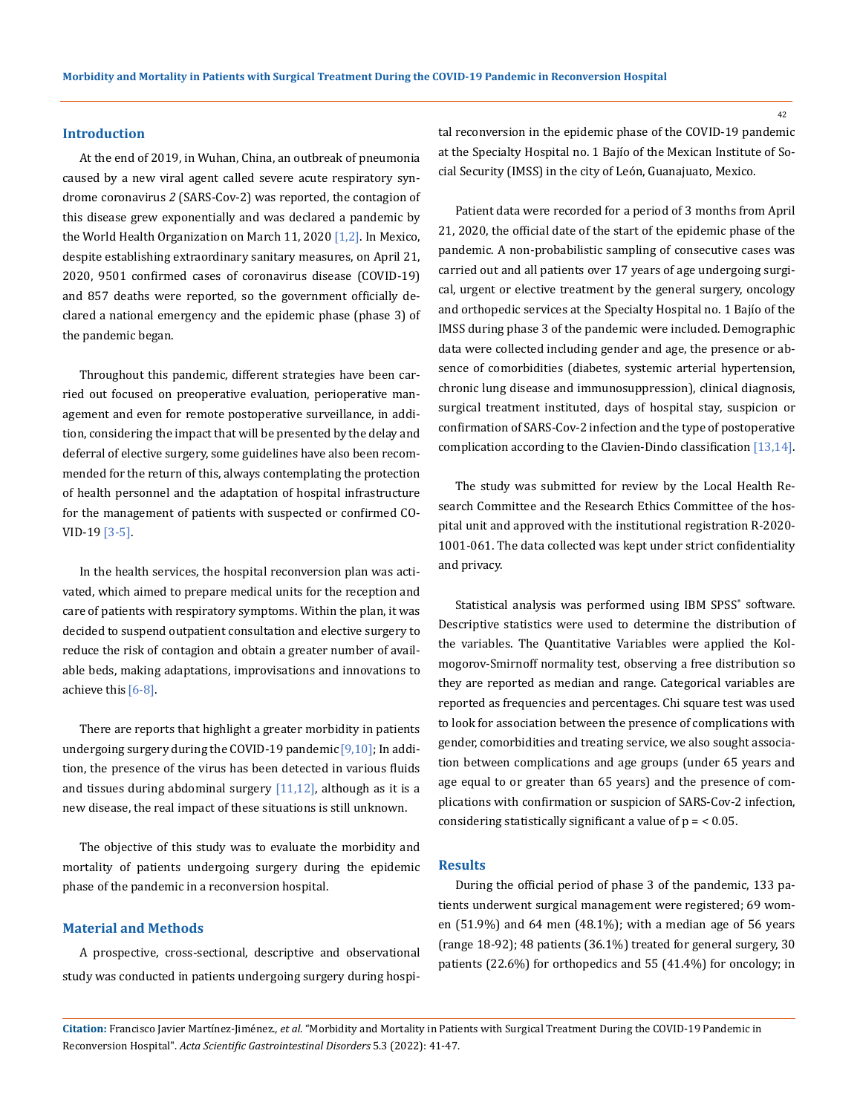#### **Introduction**

At the end of 2019, in Wuhan, China, an outbreak of pneumonia caused by a new viral agent called severe acute respiratory syndrome coronavirus *2* (SARS-Cov-2) was reported, the contagion of this disease grew exponentially and was declared a pandemic by the World Health Organization on March 11, 2020 [1,2]. In Mexico, despite establishing extraordinary sanitary measures, on April 21, 2020, 9501 confirmed cases of coronavirus disease (COVID-19) and 857 deaths were reported, so the government officially declared a national emergency and the epidemic phase (phase 3) of the pandemic began.

Throughout this pandemic, different strategies have been carried out focused on preoperative evaluation, perioperative management and even for remote postoperative surveillance, in addition, considering the impact that will be presented by the delay and deferral of elective surgery, some guidelines have also been recommended for the return of this, always contemplating the protection of health personnel and the adaptation of hospital infrastructure for the management of patients with suspected or confirmed CO-VID-19 [3-5].

In the health services, the hospital reconversion plan was activated, which aimed to prepare medical units for the reception and care of patients with respiratory symptoms. Within the plan, it was decided to suspend outpatient consultation and elective surgery to reduce the risk of contagion and obtain a greater number of available beds, making adaptations, improvisations and innovations to achieve this [6-8].

There are reports that highlight a greater morbidity in patients undergoing surgery during the COVID-19 pandemic  $[9,10]$ ; In addition, the presence of the virus has been detected in various fluids and tissues during abdominal surgery  $[11,12]$ , although as it is a new disease, the real impact of these situations is still unknown.

The objective of this study was to evaluate the morbidity and mortality of patients undergoing surgery during the epidemic phase of the pandemic in a reconversion hospital.

## **Material and Methods**

A prospective, cross-sectional, descriptive and observational study was conducted in patients undergoing surgery during hospital reconversion in the epidemic phase of the COVID-19 pandemic at the Specialty Hospital no. 1 Bajío of the Mexican Institute of Social Security (IMSS) in the city of León, Guanajuato, Mexico.

Patient data were recorded for a period of 3 months from April 21, 2020, the official date of the start of the epidemic phase of the pandemic. A non-probabilistic sampling of consecutive cases was carried out and all patients over 17 years of age undergoing surgical, urgent or elective treatment by the general surgery, oncology and orthopedic services at the Specialty Hospital no. 1 Bajío of the IMSS during phase 3 of the pandemic were included. Demographic data were collected including gender and age, the presence or absence of comorbidities (diabetes, systemic arterial hypertension, chronic lung disease and immunosuppression), clinical diagnosis, surgical treatment instituted, days of hospital stay, suspicion or confirmation of SARS-Cov-2 infection and the type of postoperative complication according to the Clavien-Dindo classification [13,14].

The study was submitted for review by the Local Health Research Committee and the Research Ethics Committee of the hospital unit and approved with the institutional registration R-2020- 1001-061. The data collected was kept under strict confidentiality and privacy.

Statistical analysis was performed using IBM SPSS<sup>®</sup> software. Descriptive statistics were used to determine the distribution of the variables. The Quantitative Variables were applied the Kolmogorov-Smirnoff normality test, observing a free distribution so they are reported as median and range. Categorical variables are reported as frequencies and percentages. Chi square test was used to look for association between the presence of complications with gender, comorbidities and treating service, we also sought association between complications and age groups (under 65 years and age equal to or greater than 65 years) and the presence of complications with confirmation or suspicion of SARS-Cov-2 infection, considering statistically significant a value of  $p = < 0.05$ .

#### **Results**

During the official period of phase 3 of the pandemic, 133 patients underwent surgical management were registered; 69 women (51.9%) and 64 men (48.1%); with a median age of 56 years (range 18-92); 48 patients (36.1%) treated for general surgery, 30 patients (22.6%) for orthopedics and 55 (41.4%) for oncology; in

**Citation:** Francisco Javier Martínez-Jiménez*., et al.* "Morbidity and Mortality in Patients with Surgical Treatment During the COVID-19 Pandemic in Reconversion Hospital". *Acta Scientific Gastrointestinal Disorders* 5.3 (2022): 41-47.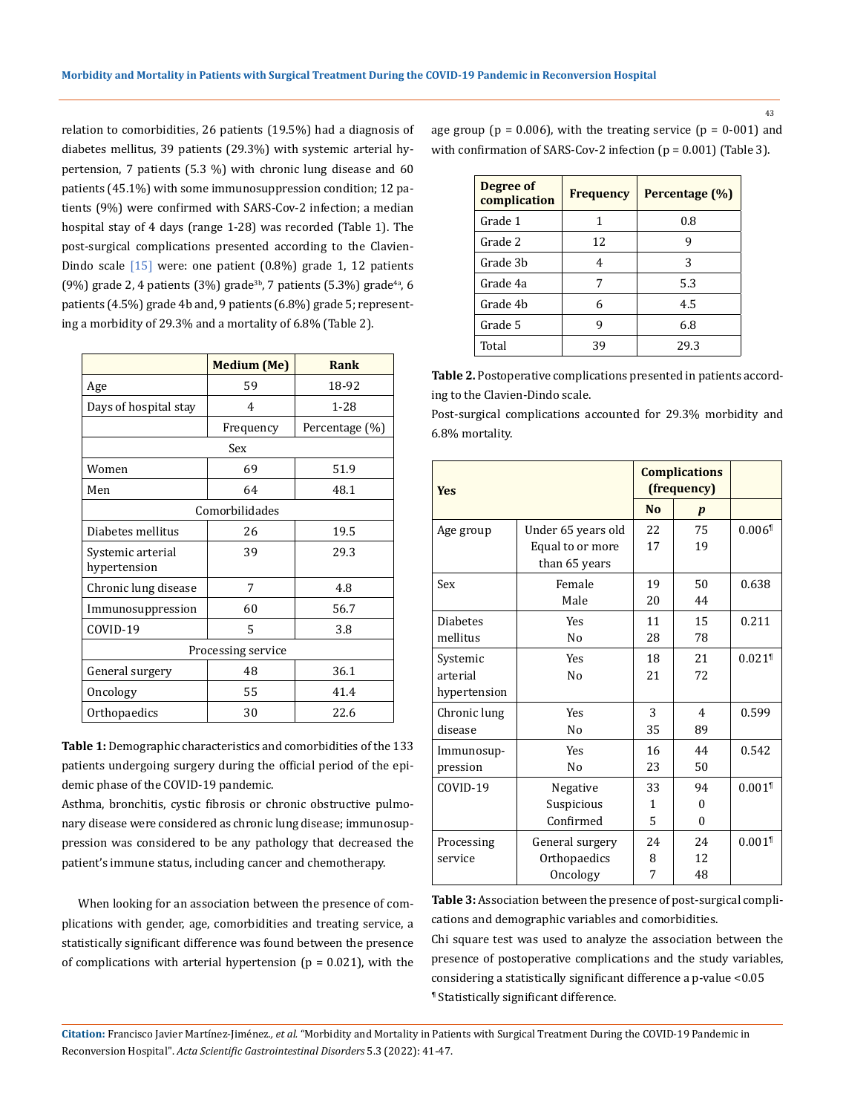relation to comorbidities, 26 patients (19.5%) had a diagnosis of diabetes mellitus, 39 patients (29.3%) with systemic arterial hypertension, 7 patients (5.3 %) with chronic lung disease and 60 patients (45.1%) with some immunosuppression condition; 12 patients (9%) were confirmed with SARS-Cov-2 infection; a median hospital stay of 4 days (range 1-28) was recorded (Table 1). The post-surgical complications presented according to the Clavien-Dindo scale [15] were: one patient (0.8%) grade 1, 12 patients (9%) grade 2, 4 patients (3%) grade<sup>3b</sup>, 7 patients (5.3%) grade<sup>4a</sup>, 6 patients (4.5%) grade 4b and, 9 patients (6.8%) grade 5; representing a morbidity of 29.3% and a mortality of 6.8% (Table 2).

|                                   | <b>Medium (Me)</b> | Rank           |  |  |  |  |
|-----------------------------------|--------------------|----------------|--|--|--|--|
| Age                               | 59                 | 18-92          |  |  |  |  |
| Days of hospital stay             | 4                  | $1 - 28$       |  |  |  |  |
|                                   | Frequency          | Percentage (%) |  |  |  |  |
| Sex                               |                    |                |  |  |  |  |
| Women                             | 69                 | 51.9           |  |  |  |  |
| Men                               | 64                 | 48.1           |  |  |  |  |
| Comorbilidades                    |                    |                |  |  |  |  |
| Diabetes mellitus                 | 26                 | 19.5           |  |  |  |  |
| Systemic arterial<br>hypertension | 39                 | 29.3           |  |  |  |  |
| Chronic lung disease              | 7                  | 4.8            |  |  |  |  |
| Immunosuppression                 | 60                 | 56.7           |  |  |  |  |
| COVID-19                          | 5                  | 3.8            |  |  |  |  |
| Processing service                |                    |                |  |  |  |  |
| General surgery                   | 48                 | 36.1           |  |  |  |  |
| Oncology                          | 55                 | 41.4           |  |  |  |  |
| Orthopaedics                      | 30                 | 22.6           |  |  |  |  |

**Table 1:** Demographic characteristics and comorbidities of the 133 patients undergoing surgery during the official period of the epidemic phase of the COVID-19 pandemic.

Asthma, bronchitis, cystic fibrosis or chronic obstructive pulmonary disease were considered as chronic lung disease; immunosuppression was considered to be any pathology that decreased the patient's immune status, including cancer and chemotherapy.

When looking for an association between the presence of complications with gender, age, comorbidities and treating service, a statistically significant difference was found between the presence of complications with arterial hypertension ( $p = 0.021$ ), with the age group ( $p = 0.006$ ), with the treating service ( $p = 0.001$ ) and with confirmation of SARS-Cov-2 infection (p = 0.001) (Table 3).

| <b>Frequency</b> | Percentage (%) |
|------------------|----------------|
| 1                | 0.8            |
| 12               | 9              |
| 4                | 3              |
| 7                | 5.3            |
| 6                | 4.5            |
| 9                | 6.8            |
| 39               | 29.3           |
|                  |                |

**Table 2.** Postoperative complications presented in patients according to the Clavien-Dindo scale.

Post-surgical complications accounted for 29.3% morbidity and 6.8% mortality.

| <b>Yes</b>      |                    | <b>Complications</b><br>(frequency) |                  |                      |
|-----------------|--------------------|-------------------------------------|------------------|----------------------|
|                 |                    | N <sub>0</sub>                      | $\boldsymbol{p}$ |                      |
| Age group       | Under 65 years old | 22                                  | 75               | $0.006$ <sup>1</sup> |
|                 | Equal to or more   | 17                                  | 19               |                      |
|                 | than 65 years      |                                     |                  |                      |
| Sex             | Female             | 19                                  | 50               | 0.638                |
|                 | Male               | 20                                  | 44               |                      |
| <b>Diabetes</b> | <b>Yes</b>         | 11                                  | 15               | 0.211                |
| mellitus        | N <sub>0</sub>     | 28                                  | 78               |                      |
| Systemic        | <b>Yes</b>         | 18                                  | 21               | $0.021$ <sup>1</sup> |
| arterial        | N <sub>0</sub>     | 21                                  | 72               |                      |
| hypertension    |                    |                                     |                  |                      |
| Chronic lung    | <b>Yes</b>         | 3                                   | 4                | 0.599                |
| disease         | N <sub>0</sub>     | 35                                  | 89               |                      |
| Immunosup-      | <b>Yes</b>         | 16                                  | 44               | 0.542                |
| pression        | N <sub>0</sub>     | 23                                  | 50               |                      |
| COVID-19        | Negative           | 33                                  | 94               | $0.001$ <sup>1</sup> |
|                 | Suspicious         | 1                                   | $\Omega$         |                      |
|                 | Confirmed          | 5                                   | $\theta$         |                      |
| Processing      | General surgery    | 2.4                                 | 24               | $0.001$ <sup>1</sup> |
| service         | Orthopaedics       | 8                                   | 12               |                      |
|                 | Oncology           | 7                                   | 48               |                      |

**Table 3:** Association between the presence of post-surgical complications and demographic variables and comorbidities.

Chi square test was used to analyze the association between the presence of postoperative complications and the study variables, considering a statistically significant difference a p-value <0.05 ¶ Statistically significant difference.

**Citation:** Francisco Javier Martínez-Jiménez*., et al.* "Morbidity and Mortality in Patients with Surgical Treatment During the COVID-19 Pandemic in Reconversion Hospital". *Acta Scientific Gastrointestinal Disorders* 5.3 (2022): 41-47.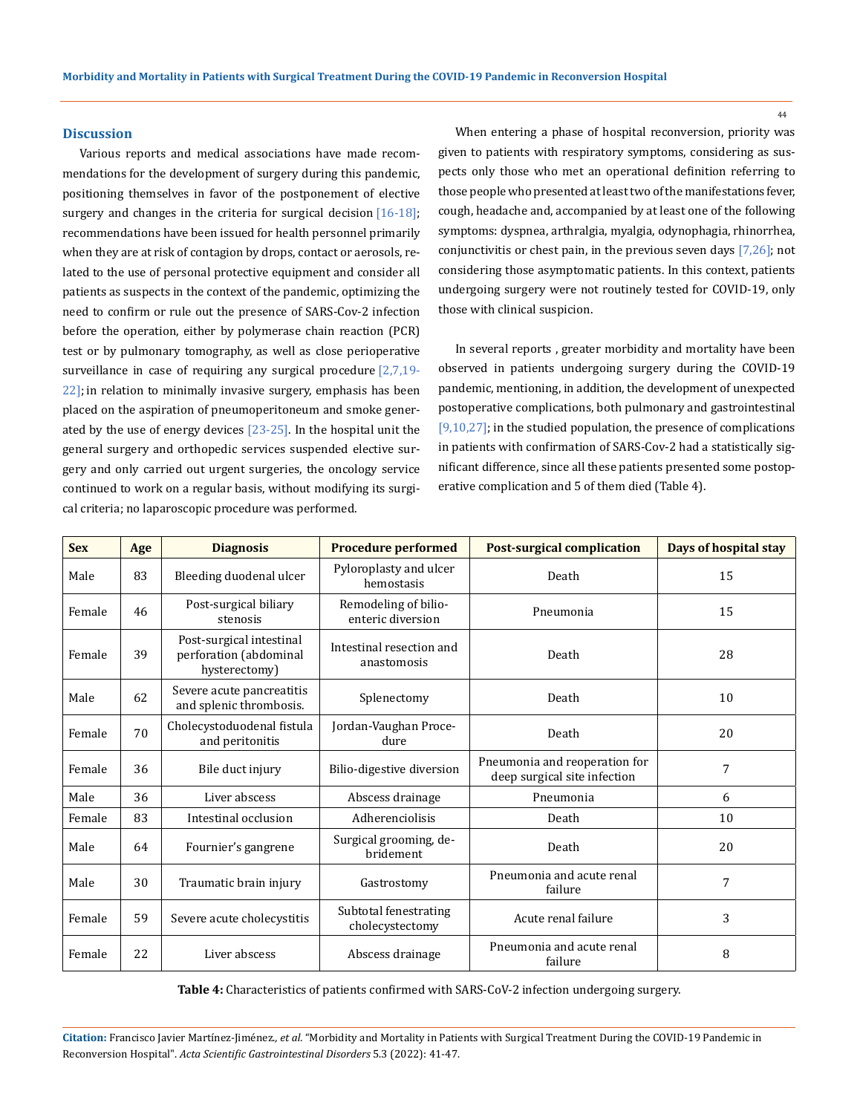#### **Discussion**

Various reports and medical associations have made recommendations for the development of surgery during this pandemic, positioning themselves in favor of the postponement of elective surgery and changes in the criteria for surgical decision  $[16-18]$ ; recommendations have been issued for health personnel primarily when they are at risk of contagion by drops, contact or aerosols, related to the use of personal protective equipment and consider all patients as suspects in the context of the pandemic, optimizing the need to confirm or rule out the presence of SARS-Cov-2 infection before the operation, either by polymerase chain reaction (PCR) test or by pulmonary tomography, as well as close perioperative surveillance in case of requiring any surgical procedure  $[2,7,19-$ 22]; in relation to minimally invasive surgery, emphasis has been placed on the aspiration of pneumoperitoneum and smoke generated by the use of energy devices [23-25]. In the hospital unit the general surgery and orthopedic services suspended elective surgery and only carried out urgent surgeries, the oncology service continued to work on a regular basis, without modifying its surgical criteria; no laparoscopic procedure was performed.

When entering a phase of hospital reconversion, priority was given to patients with respiratory symptoms, considering as suspects only those who met an operational definition referring to those people who presented at least two of the manifestations fever, cough, headache and, accompanied by at least one of the following symptoms: dyspnea, arthralgia, myalgia, odynophagia, rhinorrhea, conjunctivitis or chest pain, in the previous seven days  $[7,26]$ ; not considering those asymptomatic patients. In this context, patients undergoing surgery were not routinely tested for COVID-19, only those with clinical suspicion.

In several reports , greater morbidity and mortality have been observed in patients undergoing surgery during the COVID-19 pandemic, mentioning, in addition, the development of unexpected postoperative complications, both pulmonary and gastrointestinal [9,10,27]; in the studied population, the presence of complications in patients with confirmation of SARS-Cov-2 had a statistically significant difference, since all these patients presented some postoperative complication and 5 of them died (Table 4).

| <b>Sex</b> | Age | <b>Diagnosis</b>                                                    | <b>Procedure performed</b>                | <b>Post-surgical complication</b>                             | Days of hospital stay |
|------------|-----|---------------------------------------------------------------------|-------------------------------------------|---------------------------------------------------------------|-----------------------|
| Male       | 83  | Bleeding duodenal ulcer                                             | Pyloroplasty and ulcer<br>hemostasis      | Death                                                         | 15                    |
| Female     | 46  | Post-surgical biliary<br>stenosis                                   | Remodeling of bilio-<br>enteric diversion | Pneumonia                                                     | 15                    |
| Female     | 39  | Post-surgical intestinal<br>perforation (abdominal<br>hysterectomy) | Intestinal resection and<br>anastomosis   | Death                                                         | 28                    |
| Male       | 62  | Severe acute pancreatitis<br>and splenic thrombosis.                | Splenectomy                               | Death                                                         | 10                    |
| Female     | 70  | Cholecystoduodenal fistula<br>and peritonitis                       | Jordan-Vaughan Proce-<br>dure             | Death                                                         | 20                    |
| Female     | 36  | Bile duct injury                                                    | Bilio-digestive diversion                 | Pneumonia and reoperation for<br>deep surgical site infection | 7                     |
| Male       | 36  | Liver abscess                                                       | Abscess drainage                          | Pneumonia                                                     | 6                     |
| Female     | 83  | Intestinal occlusion                                                | Adherenciolisis                           | Death                                                         | 10                    |
| Male       | 64  | Fournier's gangrene                                                 | Surgical grooming, de-<br>bridement       | Death                                                         | 20                    |
| Male       | 30  | Traumatic brain injury                                              | Gastrostomy                               | Pneumonia and acute renal<br>failure                          | 7                     |
| Female     | 59  | Severe acute cholecystitis                                          | Subtotal fenestrating<br>cholecystectomy  | Acute renal failure                                           | 3                     |
| Female     | 22  | Liver abscess                                                       | Abscess drainage                          | Pneumonia and acute renal<br>failure                          | 8                     |

**Table 4:** Characteristics of patients confirmed with SARS-CoV-2 infection undergoing surgery.

**Citation:** Francisco Javier Martínez-Jiménez*., et al.* "Morbidity and Mortality in Patients with Surgical Treatment During the COVID-19 Pandemic in Reconversion Hospital". *Acta Scientific Gastrointestinal Disorders* 5.3 (2022): 41-47.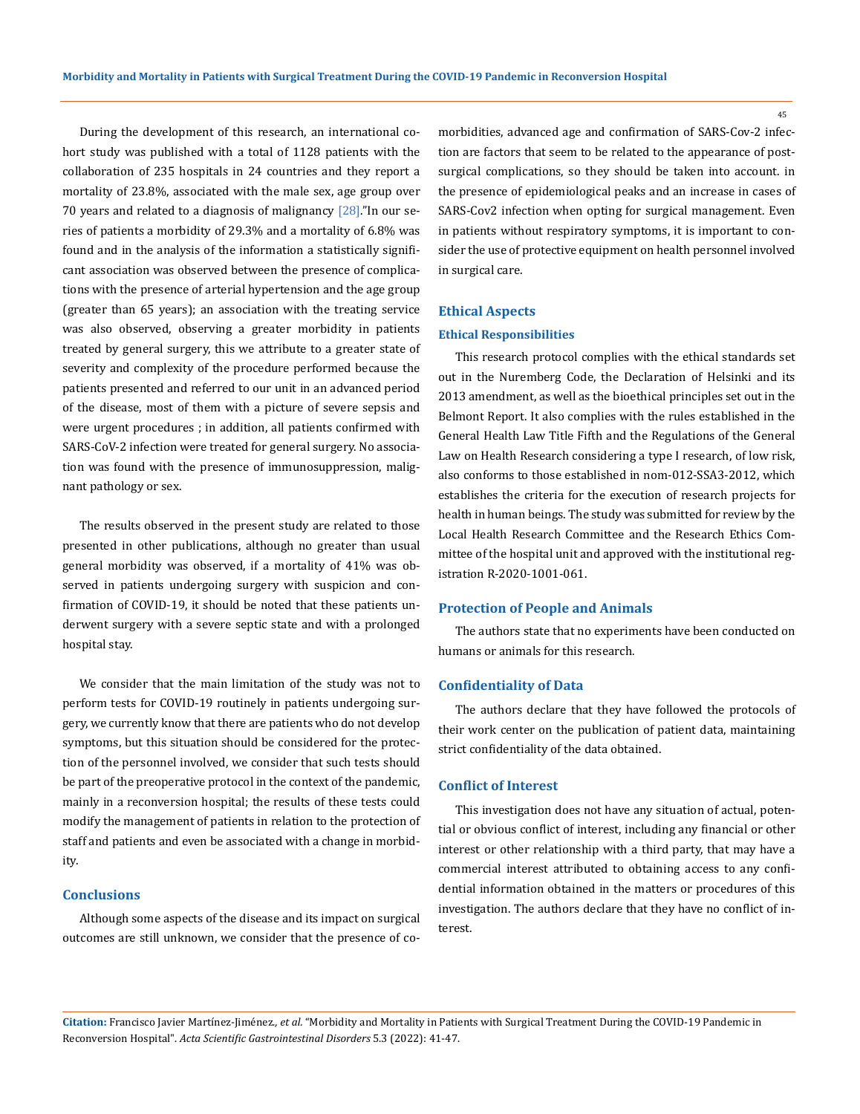During the development of this research, an international cohort study was published with a total of 1128 patients with the collaboration of 235 hospitals in 24 countries and they report a mortality of 23.8%, associated with the male sex, age group over 70 years and related to a diagnosis of malignancy [28]."In our series of patients a morbidity of 29.3% and a mortality of 6.8% was found and in the analysis of the information a statistically significant association was observed between the presence of complications with the presence of arterial hypertension and the age group (greater than 65 years); an association with the treating service was also observed, observing a greater morbidity in patients treated by general surgery, this we attribute to a greater state of severity and complexity of the procedure performed because the patients presented and referred to our unit in an advanced period of the disease, most of them with a picture of severe sepsis and were urgent procedures ; in addition, all patients confirmed with SARS-CoV-2 infection were treated for general surgery. No association was found with the presence of immunosuppression, malignant pathology or sex.

The results observed in the present study are related to those presented in other publications, although no greater than usual general morbidity was observed, if a mortality of 41% was observed in patients undergoing surgery with suspicion and confirmation of COVID-19, it should be noted that these patients underwent surgery with a severe septic state and with a prolonged hospital stay.

We consider that the main limitation of the study was not to perform tests for COVID-19 routinely in patients undergoing surgery, we currently know that there are patients who do not develop symptoms, but this situation should be considered for the protection of the personnel involved, we consider that such tests should be part of the preoperative protocol in the context of the pandemic, mainly in a reconversion hospital; the results of these tests could modify the management of patients in relation to the protection of staff and patients and even be associated with a change in morbidity.

### **Conclusions**

Although some aspects of the disease and its impact on surgical outcomes are still unknown, we consider that the presence of comorbidities, advanced age and confirmation of SARS-Cov-2 infection are factors that seem to be related to the appearance of postsurgical complications, so they should be taken into account. in the presence of epidemiological peaks and an increase in cases of SARS-Cov2 infection when opting for surgical management. Even in patients without respiratory symptoms, it is important to consider the use of protective equipment on health personnel involved in surgical care.

#### **Ethical Aspects**

#### **Ethical Responsibilities**

This research protocol complies with the ethical standards set out in the Nuremberg Code, the Declaration of Helsinki and its 2013 amendment, as well as the bioethical principles set out in the Belmont Report. It also complies with the rules established in the General Health Law Title Fifth and the Regulations of the General Law on Health Research considering a type I research, of low risk, also conforms to those established in nom-012-SSA3-2012, which establishes the criteria for the execution of research projects for health in human beings. The study was submitted for review by the Local Health Research Committee and the Research Ethics Committee of the hospital unit and approved with the institutional registration R-2020-1001-061.

#### **Protection of People and Animals**

The authors state that no experiments have been conducted on humans or animals for this research.

#### **Confidentiality of Data**

The authors declare that they have followed the protocols of their work center on the publication of patient data, maintaining strict confidentiality of the data obtained.

#### **Conflict of Interest**

This investigation does not have any situation of actual, potential or obvious conflict of interest, including any financial or other interest or other relationship with a third party, that may have a commercial interest attributed to obtaining access to any confidential information obtained in the matters or procedures of this investigation. The authors declare that they have no conflict of interest.

**Citation:** Francisco Javier Martínez-Jiménez*., et al.* "Morbidity and Mortality in Patients with Surgical Treatment During the COVID-19 Pandemic in Reconversion Hospital". *Acta Scientific Gastrointestinal Disorders* 5.3 (2022): 41-47.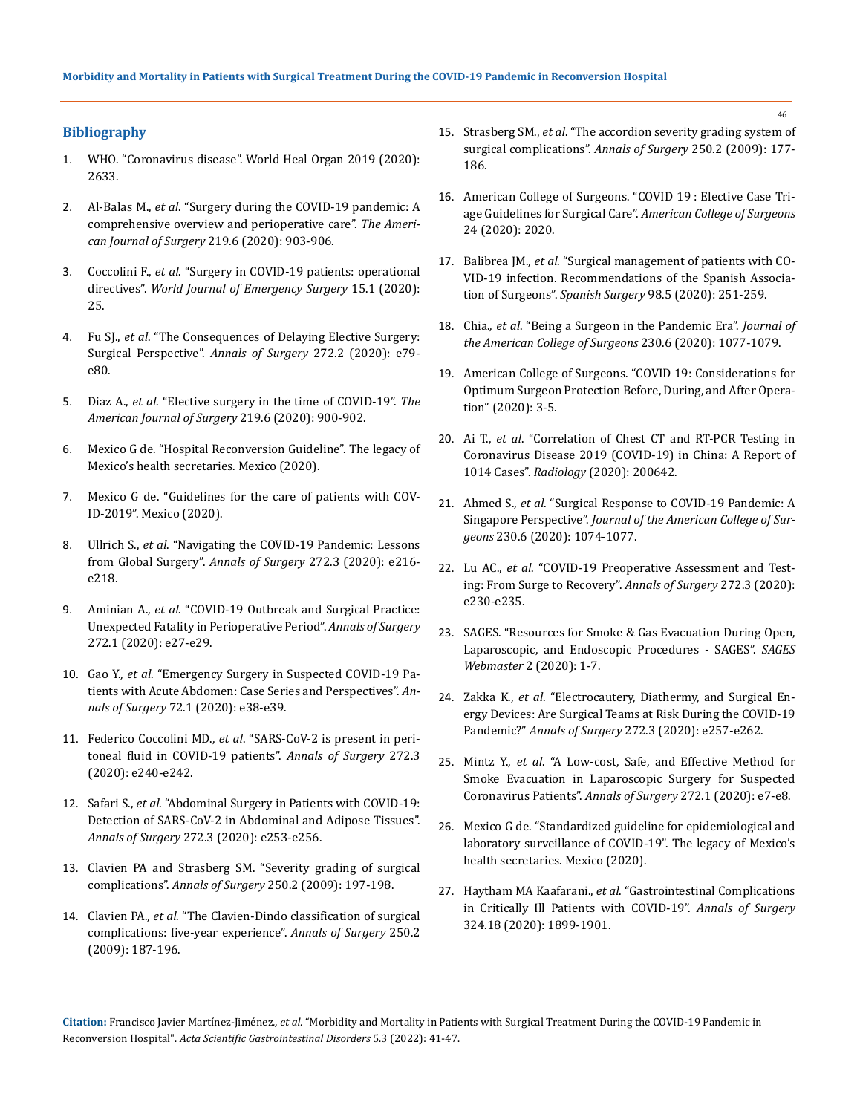## **Bibliography**

- 1. [WHO. "Coronavirus disease". World Heal Organ 2019 \(2020\):](https://www.who.int/emergencies/diseases/novel-coronavirus-2019)  [2633.](https://www.who.int/emergencies/diseases/novel-coronavirus-2019)
- 2. Al-Balas M., *et al*[. "Surgery during the COVID-19 pandemic: A](https://pubmed.ncbi.nlm.nih.gov/32334800/)  [comprehensive overview and perioperative care".](https://pubmed.ncbi.nlm.nih.gov/32334800/) *The Ameri[can Journal of Surgery](https://pubmed.ncbi.nlm.nih.gov/32334800/)* 219.6 (2020): 903-906.
- 3. Coccolini F., *et al*[. "Surgery in COVID-19 patients: operational](https://pubmed.ncbi.nlm.nih.gov/32264898/)  directives". *[World Journal of Emergency Surgery](https://pubmed.ncbi.nlm.nih.gov/32264898/)* 15.1 (2020): [25.](https://pubmed.ncbi.nlm.nih.gov/32264898/)
- 4. Fu SJ., *et al*[. "The Consequences of Delaying Elective Surgery:](https://pubmed.ncbi.nlm.nih.gov/32675504/)  [Surgical Perspective".](https://pubmed.ncbi.nlm.nih.gov/32675504/) *Annals of Surgery* 272.2 (2020): e79 [e80.](https://pubmed.ncbi.nlm.nih.gov/32675504/)
- 5. Diaz A., *et al*[. "Elective surgery in the time of COVID-19".](https://pubmed.ncbi.nlm.nih.gov/32312477/) *The [American Journal of Surgery](https://pubmed.ncbi.nlm.nih.gov/32312477/)* 219.6 (2020): 900-902.
- 6. Mexico G de. "Hospital Reconversion Guideline". The legacy of Mexico's health secretaries. Mexico (2020).
- 7. Mexico G de. "Guidelines for the care of patients with COV-ID-2019". Mexico (2020).
- 8. Ullrich S., *et al*[. "Navigating the COVID-19 Pandemic: Lessons](https://pubmed.ncbi.nlm.nih.gov/32520740/)  [from Global Surgery".](https://pubmed.ncbi.nlm.nih.gov/32520740/) *Annals of Surgery* 272.3 (2020): e216 [e218.](https://pubmed.ncbi.nlm.nih.gov/32520740/)
- 9. Aminian A., *et al*[. "COVID-19 Outbreak and Surgical Practice:](https://pubmed.ncbi.nlm.nih.gov/32221117/)  [Unexpected Fatality in Perioperative Period".](https://pubmed.ncbi.nlm.nih.gov/32221117/) *Annals of Surgery* [272.1 \(2020\): e27-e29.](https://pubmed.ncbi.nlm.nih.gov/32221117/)
- 10. Gao Y., *et al*[. "Emergency Surgery in Suspected COVID-19 Pa](https://pubmed.ncbi.nlm.nih.gov/32301807/)[tients with Acute Abdomen: Case Series and Perspectives".](https://pubmed.ncbi.nlm.nih.gov/32301807/) *Annals of Surgery* [72.1 \(2020\): e38-e39.](https://pubmed.ncbi.nlm.nih.gov/32301807/)
- 11. Federico Coccolini MD., *et al*[. "SARS-CoV-2 is present in peri](https://pubmed.ncbi.nlm.nih.gov/33759843/)[toneal fluid in COVID-19 patients".](https://pubmed.ncbi.nlm.nih.gov/33759843/) *Annals of Surgery* 272.3 [\(2020\): e240-e242.](https://pubmed.ncbi.nlm.nih.gov/33759843/)
- 12. Safari S., *et al*[. "Abdominal Surgery in Patients with COVID-19:](https://pubmed.ncbi.nlm.nih.gov/32568751/)  [Detection of SARS-CoV-2 in Abdominal and Adipose Tissues".](https://pubmed.ncbi.nlm.nih.gov/32568751/)  *Annals of Surgery* [272.3 \(2020\): e253-e256.](https://pubmed.ncbi.nlm.nih.gov/32568751/)
- 13. [Clavien PA and Strasberg SM. "Severity grading of surgical](https://pubmed.ncbi.nlm.nih.gov/19638901/)  complications". *Annals of Surgery* [250.2 \(2009\): 197-198.](https://pubmed.ncbi.nlm.nih.gov/19638901/)
- 14. Clavien PA., *et al*[. "The Clavien-Dindo classification of surgical](https://pubmed.ncbi.nlm.nih.gov/19638912/)  [complications: five-year experience".](https://pubmed.ncbi.nlm.nih.gov/19638912/) *Annals of Surgery* 250.2 [\(2009\): 187-196.](https://pubmed.ncbi.nlm.nih.gov/19638912/)
- 15. Strasberg SM., *et al*[. "The accordion severity grading system of](https://pubmed.ncbi.nlm.nih.gov/19638919/)  [surgical complications".](https://pubmed.ncbi.nlm.nih.gov/19638919/) *Annals of Surgery* 250.2 (2009): 177- [186.](https://pubmed.ncbi.nlm.nih.gov/19638919/)
- 16. [American College of Surgeons. "COVID 19 : Elective Case Tri](https://www.facs.org/covid-19/clinical-guidance/elective-case)age Guidelines for Surgical Care". *[American College of Surgeons](https://www.facs.org/covid-19/clinical-guidance/elective-case)*  [24 \(2020\): 2020.](https://www.facs.org/covid-19/clinical-guidance/elective-case)
- 17. Balibrea JM., *et al*[. "Surgical management of patients with CO-](https://pubmed.ncbi.nlm.nih.gov/32252979/)[VID-19 infection. Recommendations of the Spanish Associa](https://pubmed.ncbi.nlm.nih.gov/32252979/)tion of Surgeons". *Spanish Surgery* [98.5 \(2020\): 251-259.](https://pubmed.ncbi.nlm.nih.gov/32252979/)
- 18. Chia., *et al*[. "Being a Surgeon in the Pandemic Era".](https://pubmed.ncbi.nlm.nih.gov/32317219/) *Journal of [the American College of Surgeons](https://pubmed.ncbi.nlm.nih.gov/32317219/)* 230.6 (2020): 1077-1079.
- 19. [American College of Surgeons. "COVID 19: Considerations for](https://www.facs.org/covid-19/clinical-guidance/surgeon-protection)  [Optimum Surgeon Protection Before, During, and After Opera](https://www.facs.org/covid-19/clinical-guidance/surgeon-protection)[tion" \(2020\): 3-5.](https://www.facs.org/covid-19/clinical-guidance/surgeon-protection)
- 20. Ai T., *et al*[. "Correlation of Chest CT and RT-PCR Testing in](https://www.researchgate.net/publication/339516019_Correlation_of_Chest_CT_and_RT-PCR_Testing_for_Coronavirus_Disease_2019_COVID-19_in_China_A_Report_of_1014_Cases)  [Coronavirus Disease 2019 \(COVID-19\) in China: A Report of](https://www.researchgate.net/publication/339516019_Correlation_of_Chest_CT_and_RT-PCR_Testing_for_Coronavirus_Disease_2019_COVID-19_in_China_A_Report_of_1014_Cases)  1014 Cases". *Radiology* [\(2020\): 200642.](https://www.researchgate.net/publication/339516019_Correlation_of_Chest_CT_and_RT-PCR_Testing_for_Coronavirus_Disease_2019_COVID-19_in_China_A_Report_of_1014_Cases)
- 21. Ahmed S., *et al*[. "Surgical Response to COVID-19 Pandemic: A](https://pubmed.ncbi.nlm.nih.gov/32278729/)  Singapore Perspective". *[Journal of the American College of Sur](https://pubmed.ncbi.nlm.nih.gov/32278729/)geons* [230.6 \(2020\): 1074-1077.](https://pubmed.ncbi.nlm.nih.gov/32278729/)
- 22. Lu AC., *et al*[. "COVID-19 Preoperative Assessment and Test](https://pubmed.ncbi.nlm.nih.gov/32541233/)[ing: From Surge to Recovery".](https://pubmed.ncbi.nlm.nih.gov/32541233/) *Annals of Surgery* 272.3 (2020): [e230-e235.](https://pubmed.ncbi.nlm.nih.gov/32541233/)
- 23. [SAGES. "Resources for Smoke & Gas Evacuation During Open,](https://www.sages.org/resources-smoke-gas-evacuation-during-open-laparoscopic-endoscopic-procedures/)  [Laparoscopic, and Endoscopic Procedures - SAGES".](https://www.sages.org/resources-smoke-gas-evacuation-during-open-laparoscopic-endoscopic-procedures/) *SAGES [Webmaster](https://www.sages.org/resources-smoke-gas-evacuation-during-open-laparoscopic-endoscopic-procedures/)* 2 (2020): 1-7.
- 24. Zakka K., *et al*[. "Electrocautery, Diathermy, and Surgical En](https://pubmed.ncbi.nlm.nih.gov/32541232/)[ergy Devices: Are Surgical Teams at Risk During the COVID-19](https://pubmed.ncbi.nlm.nih.gov/32541232/)  Pandemic?" *Annals of Surgery* [272.3 \(2020\): e257-e262.](https://pubmed.ncbi.nlm.nih.gov/32541232/)
- 25. Mintz Y., *et al*[. "A Low-cost, Safe, and Effective Method for](https://pubmed.ncbi.nlm.nih.gov/32301809/)  [Smoke Evacuation in Laparoscopic Surgery for Suspected](https://pubmed.ncbi.nlm.nih.gov/32301809/)  [Coronavirus Patients".](https://pubmed.ncbi.nlm.nih.gov/32301809/) *Annals of Surgery* 272.1 (2020): e7-e8.
- 26. Mexico G de. "Standardized guideline for epidemiological and laboratory surveillance of COVID-19". The legacy of Mexico's health secretaries. Mexico (2020).
- 27. Haytham MA Kaafarani., *et al*[. "Gastrointestinal Complications](https://pubmed.ncbi.nlm.nih.gov/32970139/)  [in Critically Ill Patients with COVID-19".](https://pubmed.ncbi.nlm.nih.gov/32970139/) *Annals of Surgery*  [324.18 \(2020\): 1899-1901.](https://pubmed.ncbi.nlm.nih.gov/32970139/)

**Citation:** Francisco Javier Martínez-Jiménez*., et al.* "Morbidity and Mortality in Patients with Surgical Treatment During the COVID-19 Pandemic in Reconversion Hospital". *Acta Scientific Gastrointestinal Disorders* 5.3 (2022): 41-47.